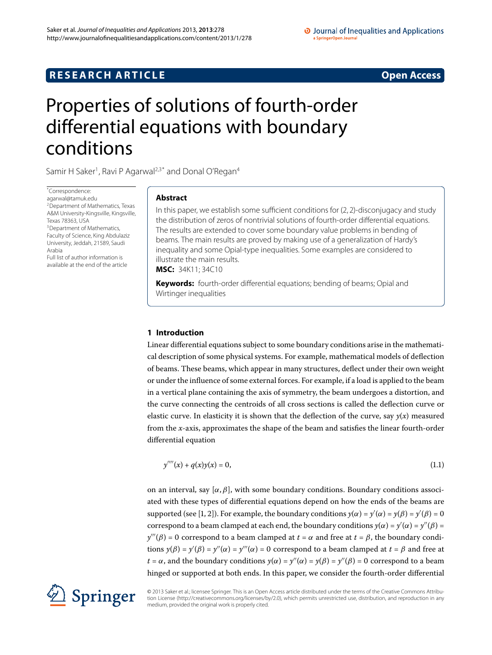# **RESEARCH ARTICLE** *RESEARCH ARTICLE*

# <span id="page-0-0"></span>Properties of solutions of fourth-order differential equations with boundary conditions

Samir H Saker<sup>1</sup>, Ravi P Agarwal<sup>[2](#page-13-1)[,3](#page-13-2)[\\*](#page-0-0)</sup> and Donal O'Regan<sup>[4](#page-13-3)</sup>

\* Correspondence: [agarwal@tamuk.edu](mailto:agarwal@tamuk.edu) 2Department of Mathematics, Texas A&M University-Kingsville, Kingsville, [T](#page-13-2)exas 78363, USA <sup>3</sup> Department of Mathematics, Faculty of Science, King Abdulaziz University, Jeddah, 21589, Saudi Arabia Full list of author information is available at the end of the article

# **Abstract**

In this paper, we establish some sufficient conditions for (2, 2)-disconjugacy and study the distribution of zeros of nontrivial solutions of fourth-order differential equations. The results are extended to cover some boundary value problems in bending of beams. The main results are proved by making use of a generalization of Hardy's inequality and some Opial-type inequalities. Some examples are considered to illustrate the main results. **MSC:** 34K11; 34C10

**Keywords:** fourth-order differential equations; bending of beams; Opial and Wirtinger inequalities

# **1 Introduction**

Linear differential equations subject to some boundary conditions arise in the mathematical description of some physical systems. For example, mathematical models of deflection of beams. These beams, which appear in many structures, deflect under their own weight or under the influence of some external forces. For example, if a load is applied to the beam in a vertical plane containing the axis of symmetry, the beam undergoes a distortion, and the curve connecting the centroids of all cross sections is called the deflection curve or elastic curve. In elasticity it is shown that the deflection of the curve, say  $y(x)$  measured from the *x*-axis, approximates the shape of the beam and satisfies the linear fourth-order differential equation

$$
y'''(x) + q(x)y(x) = 0,
$$
\n(1.1)

on an interval, say  $[\alpha, \beta]$ , with some boundary conditions. Boundary conditions associated with these types of differential equations depend on how the ends of the beams are  $\sup$  supported (see [\[](#page-13-4)1, 2]). For example, the boundary conditions  $y(\alpha) = y'(\alpha) = y(\beta) = y'(\beta) = 0$ correspond to a beam clamped at each end, the boundary conditions  $y(\alpha) = y'(\alpha) = y''(\beta) =$  $y'''(\beta) = 0$  correspond to a beam clamped at  $t = \alpha$  and free at  $t = \beta$ , the boundary conditions  $y(\beta) = y'(\beta) = y''(\alpha) = y'''(\alpha) = 0$  correspond to a beam clamped at  $t = \beta$  and free at *t* = *α*, and the boundary conditions  $y(\alpha) = y''(\alpha) = y(\beta) = y''(\beta) = 0$  correspond to a beam hinged or supported at both ends. In this paper, we consider the fourth-order differential



© 2013 Saker et al.; licensee Springer. This is an Open Access article distributed under the terms of the Creative Commons Attribution License ([http://creativecommons.org/licenses/by/2.0\)](http://creativecommons.org/licenses/by/2.0), which permits unrestricted use, distribution, and reproduction in any medium, provided the original work is properly cited.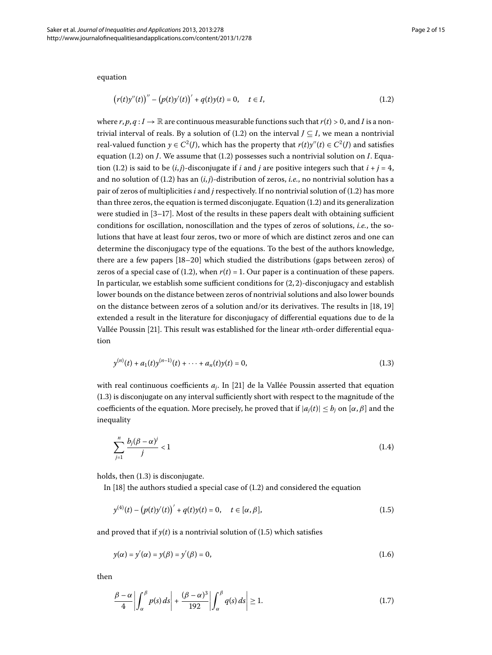equation

<span id="page-1-0"></span>
$$
(r(t)y''(t))'' - (p(t)y'(t))' + q(t)y(t) = 0, \quad t \in I,
$$
\n(1.2)

where  $r, p, q: I \to \mathbb{R}$  are continuous measurable functions such that  $r(t) > 0$ , and *I* is a nontrivial interval of reals. By a solution of (1.2) on the interval  $J \subseteq I$ , we mean a nontrivial real-valued function  $y \in C^2(J)$ , which has the property that  $r(t)y''(t) \in C^2(J)$  and satisfies equation  $(1.2)$  $(1.2)$  $(1.2)$  on *J*. We assume that  $(1.2)$  possesses such a nontrivial solution on *I*. Equa-tion (1[.](#page-1-0)2) is said to be  $(i, j)$ -disconjugate if *i* and *j* are positive integers such that  $i + j = 4$ , and no solution of (1.2) has an  $(i, j)$ -distribution of zeros, *i.e.*, no nontrivial solution has a pair of zeros of multiplicities  $i$  and  $j$  respectively[.](#page-1-0) If no nontrivial solution of  $(1.2)$  has more than three zeros, the equation is termed disconjugate[.](#page-1-0) Equation  $(1.2)$  and its generalization were studied in  $[3-17]$  $[3-17]$ . Most of the results in these papers dealt with obtaining sufficient conditions for oscillation, nonoscillation and the types of zeros of solutions, *i.e.*, the solutions that have at least four zeros, two or more of which are distinct zeros and one can determine the disconjugacy type of the equations. To the best of the authors knowledge, there are a few papers  $[18-20]$  which studied the distributions (gaps between zeros) of zeros of a special case of (1.2), when  $r(t) = 1$ . Our paper is a continuation of these papers. In particular, we establish some sufficient conditions for  $(2, 2)$ -disconjugacy and establish lower bounds on the distance between zeros of nontrivial solutions and also lower bounds on the distance between zeros of a solution and/or its derivatives. The results in  $[18, 19]$  $[18, 19]$ extended a result in the literature for disconjugacy of differential equations due to de la Vallée Poussin [21[\]](#page-14-4). This result was established for the linear *n*th-order differential equation

<span id="page-1-1"></span>
$$
y^{(n)}(t) + a_1(t)y^{(n-1)}(t) + \dots + a_n(t)y(t) = 0,
$$
\n(1.3)

with real continuous coefficients  $a_i$ . In [21] de la Vallée Poussin asserted that equation  $(1.3)$  $(1.3)$  $(1.3)$  is disconjugate on any interval sufficiently short with respect to the magnitude of the coefficients of the equation. More precisely, he proved that if  $|a_i(t)| \leq b_i$  on  $[\alpha, \beta]$  and the inequality

<span id="page-1-2"></span>
$$
\sum_{j=1}^{n} \frac{b_j(\beta - \alpha)^j}{j} < 1 \tag{1.4}
$$

holds, then  $(1.3)$  is disconjugate.

In  $[18]$  $[18]$  the authors studied a special case of  $(1.2)$  $(1.2)$  $(1.2)$  and considered the equation

<span id="page-1-3"></span>
$$
y^{(4)}(t) - (p(t)y'(t))' + q(t)y(t) = 0, \quad t \in [\alpha, \beta],
$$
\n(1.5)

and proved that if  $y(t)$  is a nontrivial solution of (1.5) which satisfies

$$
y(\alpha) = y'(\alpha) = y(\beta) = y'(\beta) = 0,
$$
\n(1.6)

then

$$
\frac{\beta-\alpha}{4}\bigg|\int_{\alpha}^{\beta}p(s)\,ds\bigg| + \frac{(\beta-\alpha)^3}{192}\bigg|\int_{\alpha}^{\beta}q(s)\,ds\bigg| \ge 1. \tag{1.7}
$$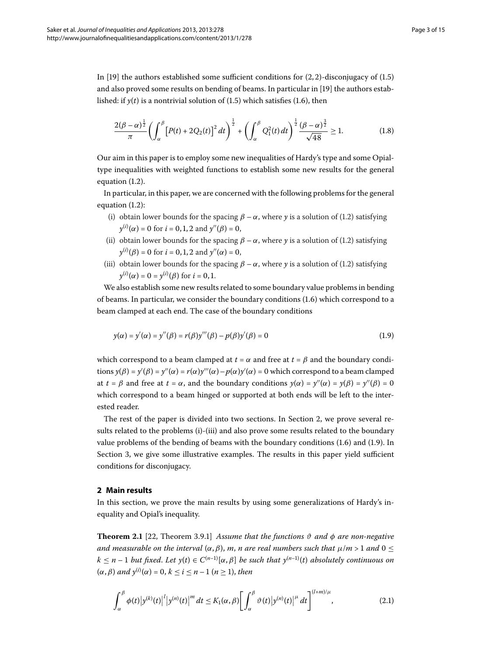In [\[](#page-14-3)19] the authors established some sufficient conditions for  $(2, 2)$ -disconjugacy of  $(1.5)$  $(1.5)$  $(1.5)$ and also proved some results on bending of beams. In particular in [\[](#page-14-3)19] the authors established: if  $y(t)$  is a nontrivial solution of (1.5) which satisfies (1.6), then

$$
\frac{2(\beta-\alpha)^{\frac{1}{2}}}{\pi}\left(\int_{\alpha}^{\beta}\left[P(t)+2Q_{2}(t)\right]^{2}dt\right)^{\frac{1}{2}}+\left(\int_{\alpha}^{\beta}Q_{1}^{2}(t)dt\right)^{\frac{1}{2}}\frac{(\beta-\alpha)^{\frac{3}{2}}}{\sqrt{48}}\geq 1.\tag{1.8}
$$

Our aim in this paper is to employ some new inequalities of Hardy's type and some Opialtype inequalities with weighted functions to establish some new results for the general equation  $(1.2)$  $(1.2)$  $(1.2)$ .

In particular, in this paper, we are concerned with the following problems for the general equation  $(1.2)$  $(1.2)$  $(1.2)$ :

- (i) obtain lower bounds for the spacing  $\beta \alpha$ , where *y* is a solution of (1.2) satisfying  $y^{(i)}(\alpha) = 0$  for  $i = 0, 1, 2$  and  $y''(\beta) = 0$ ,
- <span id="page-2-1"></span>(ii) obtain lower bounds for the spacing  $\beta - \alpha$ , where *y* is a solution of (1.2) satisfying  $y^{(i)}(\beta) = 0$  for  $i = 0, 1, 2$  and  $y''(\alpha) = 0$ ,
- (iii) obtain lower bounds for the spacing  $\beta \alpha$ , where *y* is a solution of (1.2) satisfying  $y^{(i)}(\alpha) = 0 = y^{(i)}(\beta)$  for  $i = 0, 1$ .

We also establish some new results related to some boundary value problems in bending of beams. In particular, we consider the boundary conditions  $(1.6)$  which correspond to a beam clamped at each end. The case of the boundary conditions

$$
y(\alpha) = y'(\alpha) = y''(\beta) = r(\beta)y'''(\beta) - p(\beta)y'(\beta) = 0
$$
\n(1.9)

which correspond to a beam clamped at  $t = \alpha$  and free at  $t = \beta$  and the boundary condi- $\text{tions } y(\beta) = y'(\beta) = y''(\alpha) = r(\alpha)y'''(\alpha) - p(\alpha)y'(\alpha) = 0$  which correspond to a beam clamped at  $t = \beta$  and free at  $t = \alpha$ , and the boundary conditions  $y(\alpha) = y''(\alpha) = y(\beta) = y''(\beta) = 0$ which correspond to a beam hinged or supported at both ends will be left to the interested reader.

<span id="page-2-0"></span>The rest of the paper is divided into two sections. In Section 2[,](#page-2-0) we prove several results related to the problems (i)-(iii) and also prove some results related to the boundary value problems of the bending of beams with the boundary conditions (1[.](#page-1-3)6) and (1.9). In Section 3, we give some illustrative examples. The results in this paper yield sufficient conditions for disconjugacy.

### <span id="page-2-3"></span>**2 Main results**

In this section, we prove the main results by using some generalizations of Hardy's inequality and Opial's inequality.

**Theorem 2.1** [22, Theorem 3.9.1] *Assume that the functions*  $\vartheta$  *and*  $\varphi$  *are non-negative and measurable on the interval*  $(\alpha, \beta)$ , *m, n are real numbers such that*  $\mu/m > 1$  *and*  $0 \leq$  $k \leq n-1$  *but fixed. Let*  $y(t) \in C^{(n-1)}[\alpha, \beta]$  *be such that*  $y^{(n-1)}(t)$  *absolutely continuous on*  $(\alpha, \beta)$  and  $y^{(i)}(\alpha) = 0, k \le i \le n - 1$  ( $n \ge 1$ ), then

<span id="page-2-2"></span>
$$
\int_{\alpha}^{\beta} \phi(t) \left| y^{(k)}(t) \right|^l \left| y^{(n)}(t) \right|^m dt \le K_1(\alpha, \beta) \left[ \int_{\alpha}^{\beta} \vartheta(t) \left| y^{(n)}(t) \right|^{\mu} dt \right]^{(l+m)/\mu}, \tag{2.1}
$$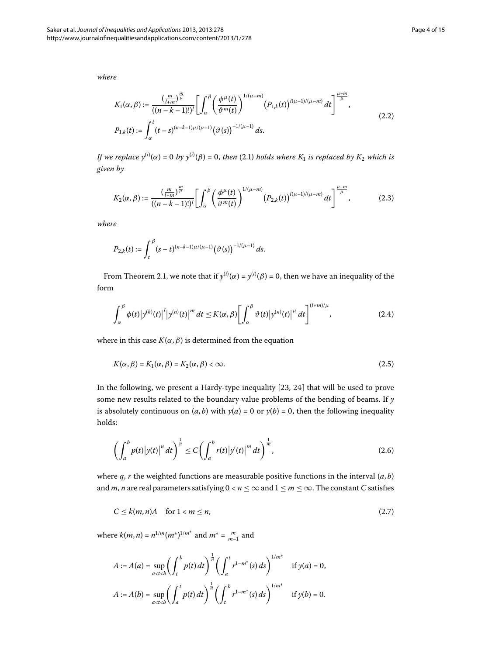*where*

$$
K_1(\alpha, \beta) := \frac{\left(\frac{m}{l+m}\right)^{\frac{m}{\mu}}}{\left((n-k-1)!\right)^l} \left[\int_{\alpha}^{\beta} \left(\frac{\phi^{\mu}(t)}{\vartheta^m(t)}\right)^{1/(\mu-m)} \left(P_{1,k}(t)\right)^{l(\mu-1)/(\mu-m)} dt\right]^{\frac{\mu-m}{\mu}},
$$
\n
$$
P_{1,k}(t) := \int_{\alpha}^{t} (t-s)^{(n-k-1)\mu/(\mu-1)} \left(\vartheta(s)\right)^{-1/(\mu-1)} ds.
$$
\n(2.2)

*If we replace*  $y^{(i)}(\alpha) = 0$  *by*  $y^{(i)}(\beta) = 0$ *, then (2.1) holds where*  $K_1$  *is replaced by*  $K_2$  *which is given by*

$$
K_2(\alpha, \beta) := \frac{\left(\frac{m}{l+m}\right)^{\frac{m}{\mu}}}{\left((n-k-1)!\right)^l} \left[\int_{\alpha}^{\beta} \left(\frac{\phi^{\mu}(t)}{\vartheta^{m}(t)}\right)^{1/(\mu-m)} \left(P_{2,k}(t)\right)^{l(\mu-1)/(\mu-m)} dt\right]^{\frac{\mu-m}{\mu}},\tag{2.3}
$$

*where*

$$
P_{2,k}(t) := \int_{t}^{\beta} (s-t)^{(n-k-1)\mu/(\mu-1)} (\vartheta(s))^{-1/(\mu-1)} ds.
$$

From Theorem 2[.](#page-2-3)1, we note that if  $y^{(i)}(\alpha) = y^{(i)}(\beta) = 0$ , then we have an inequality of the form

$$
\int_{\alpha}^{\beta} \phi(t) \left| y^{(k)}(t) \right|^l \left| y^{(n)}(t) \right|^m dt \le K(\alpha, \beta) \left[ \int_{\alpha}^{\beta} \vartheta(t) \left| y^{(n)}(t) \right|^{\mu} dt \right]^{(l+m)/\mu}, \tag{2.4}
$$

where in this case  $K(\alpha, \beta)$  is determined from the equation

<span id="page-3-0"></span>
$$
K(\alpha, \beta) = K_1(\alpha, \beta) = K_2(\alpha, \beta) < \infty. \tag{2.5}
$$

In the following[,](#page-14-6) we present a Hardy-type inequality [23, 24[\]](#page-14-7) that will be used to prove some new results related to the boundary value problems of the bending of beams. If *y* is absolutely continuous on  $(a, b)$  with  $y(a) = 0$  or  $y(b) = 0$ , then the following inequality holds:

$$
\left(\int_{a}^{b} p(t) |y(t)|^{n} dt\right)^{\frac{1}{n}} \leq C \left(\int_{a}^{b} r(t) |y'(t)|^{m} dt\right)^{\frac{1}{m}},
$$
\n(2.6)

where *q*, *r* the weighted functions are measurable positive functions in the interval (*a*, *b*) and *m*, *n* are real parameters satisfying  $0 < n \leq \infty$  and  $1 \leq m \leq \infty$ . The constant *C* satisfies

$$
C \le k(m, n)A \quad \text{for } 1 < m \le n,\tag{2.7}
$$

where  $k(m, n) = n^{1/m} (m^*)^{1/m^*}$  and  $m^* = \frac{m}{m-1}$  and

$$
A := A(a) = \sup_{a < t < b} \left( \int_{t}^{b} p(t) dt \right)^{\frac{1}{n}} \left( \int_{a}^{t} r^{1-m^{*}}(s) ds \right)^{1/m^{*}} \quad \text{if } y(a) = 0,
$$
  

$$
A := A(b) = \sup_{a < t < b} \left( \int_{a}^{t} p(t) dt \right)^{\frac{1}{n}} \left( \int_{t}^{b} r^{1-m^{*}}(s) ds \right)^{1/m^{*}} \quad \text{if } y(b) = 0.
$$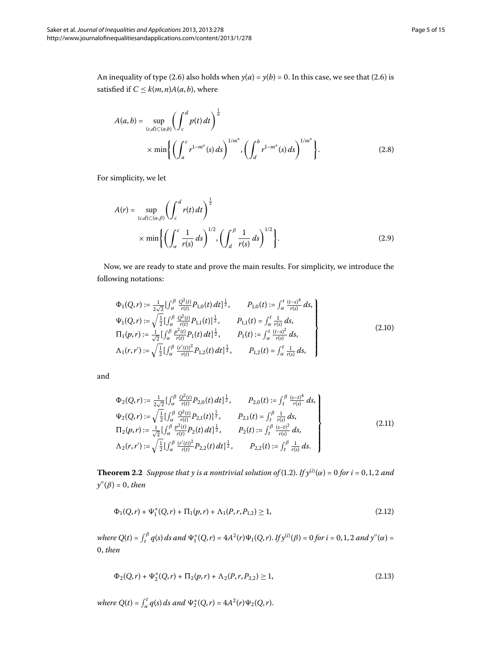An inequality of type (2[.](#page-3-0)6) also holds when  $y(a) = y(b) = 0$ . In this case, we see that (2.6) is satisfied if  $C \leq k(m, n)A(a, b)$ , where

$$
A(a,b) = \sup_{(c,d)\subset(a,b)} \left(\int_c^d p(t) dt\right)^{\frac{1}{n}} \times \min\left\{\left(\int_a^c r^{1-m^*}(s) ds\right)^{1/m^*}, \left(\int_d^b r^{1-m^*}(s) ds\right)^{1/m^*}\right\}.
$$
 (2.8)

For simplicity, we let

<span id="page-4-5"></span>
$$
A(r) = \sup_{(c,d)\subset(\alpha,\beta)} \left(\int_c^d r(t) dt\right)^{\frac{1}{2}}
$$
  
 
$$
\times \min\left\{\left(\int_\alpha^c \frac{1}{r(s)} ds\right)^{1/2}, \left(\int_d^\beta \frac{1}{r(s)} ds\right)^{1/2}\right\}.
$$
 (2.9)

Now, we are ready to state and prove the main results. For simplicity, we introduce the following notations:

<span id="page-4-3"></span><span id="page-4-1"></span>
$$
\Phi_{1}(Q,r) := \frac{1}{2\sqrt{2}} \left[ \int_{\alpha}^{\beta} \frac{Q^{2}(t)}{r(t)} P_{1,0}(t) dt \right]^{\frac{1}{2}}, \qquad P_{1,0}(t) := \int_{\alpha}^{t} \frac{(t-s)^{4}}{r(s)} ds,
$$
\n
$$
\Psi_{1}(Q,r) := \sqrt{\frac{1}{2}} \left[ \int_{\alpha}^{\beta} \frac{Q^{2}(t)}{r(t)} P_{1,1}(t) \right]^{\frac{1}{2}}, \qquad P_{1,1}(t) = \int_{\alpha}^{t} \frac{1}{r(s)} ds,
$$
\n
$$
\Pi_{1}(p,r) := \frac{1}{\sqrt{2}} \left[ \int_{\alpha}^{\beta} \frac{p^{2}(t)}{r(t)} P_{1}(t) dt \right]^{\frac{1}{2}}, \qquad P_{1}(t) := \int_{\alpha}^{t} \frac{(t-s)^{2}}{r(s)} ds,
$$
\n
$$
\Lambda_{1}(r,r') := \sqrt{\frac{1}{2}} \left[ \int_{\alpha}^{\beta} \frac{(r'(t))^{2}}{r(t)} P_{1,2}(t) dt \right]^{\frac{1}{2}}, \qquad P_{1,2}(t) = \int_{\alpha}^{t} \frac{1}{r(s)} ds,
$$
\n
$$
(2.10)
$$

<span id="page-4-4"></span>and

<span id="page-4-0"></span>
$$
\Phi_2(Q,r) := \frac{1}{2\sqrt{2}} \left[ \int_{\alpha}^{\beta} \frac{Q^2(t)}{r(t)} P_{2,0}(t) dt \right]^{\frac{1}{2}}, \qquad P_{2,0}(t) := \int_{t}^{\beta} \frac{(s-t)^4}{r(s)} ds,
$$
\n
$$
\Psi_2(Q,r) := \sqrt{\frac{1}{2}} \left[ \int_{\alpha}^{\beta} \frac{Q^2(t)}{r(t)} P_{2,1}(t) \right]^{\frac{1}{2}}, \qquad P_{2,1}(t) = \int_{t}^{\beta} \frac{1}{r(s)} ds,
$$
\n
$$
\Pi_2(p,r) := \frac{1}{\sqrt{2}} \left[ \int_{\alpha}^{\beta} \frac{P^2(t)}{r(t)} P_2(t) dt \right]^{\frac{1}{2}}, \qquad P_2(t) := \int_{t}^{\beta} \frac{(s-t)^2}{r(s)} ds,
$$
\n
$$
\Lambda_2(r,r') := \sqrt{\frac{1}{2}} \left[ \int_{\alpha}^{\beta} \frac{(r'(t))^2}{r(t)} P_{2,2}(t) dt \right]^{\frac{1}{2}}, \qquad P_{2,2}(t) := \int_{t}^{\beta} \frac{1}{r(s)} ds.
$$
\n(2.11)

**Theorem 2[.](#page-1-0)2** Suppose that y is a nontrivial solution of (1.2). If  $y^{(i)}(\alpha) = 0$  for  $i = 0, 1, 2$  and *y''* (β) = 0, *then* 

<span id="page-4-2"></span>
$$
\Phi_1(Q,r) + \Psi_1^*(Q,r) + \Pi_1(p,r) + \Lambda_1(P,r,P_{1,2}) \ge 1,\tag{2.12}
$$

*where*  $Q(t) = \int_t^\beta q(s) ds$  and  $\Psi_1^*(Q, r) = 4A^2(r)\Psi_1(Q, r)$ . *If*  $y^{(i)}(\beta) = 0$  for  $i = 0, 1, 2$  and  $y''(\alpha) = 0$ , *then*

$$
\Phi_2(Q,r) + \Psi_2^*(Q,r) + \Pi_2(p,r) + \Lambda_2(P,r,P_{2,2}) \ge 1,
$$
\n(2.13)

*where*  $Q(t) = \int_{\alpha}^{t} q(s) ds$  and  $\Psi_2^*(Q, r) = 4A^2(r)\Psi_2(Q, r)$ .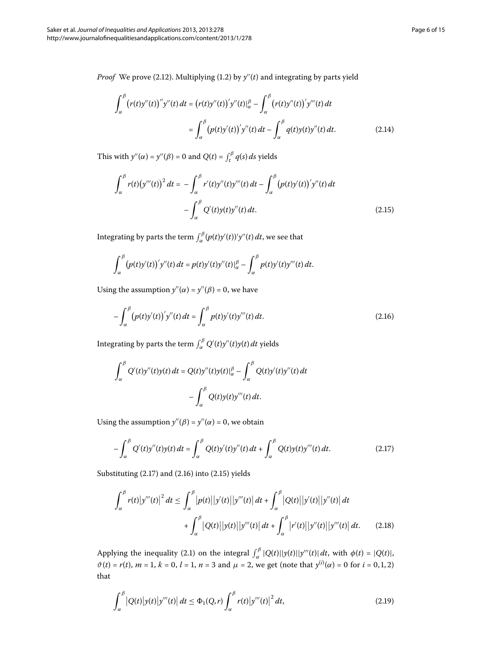*Proof* We prove (2[.](#page-1-0)12). Multiplying (1.2) by  $y''(t)$  and integrating by parts yield

<span id="page-5-2"></span>
$$
\int_{\alpha}^{\beta} (r(t)y''(t))''y''(t) dt = (r(t)y''(t))'y''(t)|_{\alpha}^{\beta} - \int_{\alpha}^{\beta} (r(t)y''(t))'y'''(t) dt
$$

$$
= \int_{\alpha}^{\beta} (p(t)y'(t))'y''(t) dt - \int_{\alpha}^{\beta} q(t)y(t)y''(t) dt.
$$
(2.14)

This with  $y''(\alpha) = y''(\beta) = 0$  and  $Q(t) = \int_t^\beta q(s) ds$  yields

$$
\int_{\alpha}^{\beta} r(t) (y'''(t))^2 dt = - \int_{\alpha}^{\beta} r'(t) y''(t) y'''(t) dt - \int_{\alpha}^{\beta} (p(t) y'(t))' y''(t) dt - \int_{\alpha}^{\beta} Q'(t) y(t) y''(t) dt.
$$
\n(2.15)

Integrating by parts the term  $\int_{\alpha}^{\beta} (p(t)y'(t))'y''(t) \, dt$ , we see that

<span id="page-5-1"></span>
$$
\int_{\alpha}^{\beta} (p(t)y'(t))'y''(t) dt = p(t)y'(t)y''(t)|_{\alpha}^{\beta} - \int_{\alpha}^{\beta} p(t)y'(t)y'''(t) dt.
$$

Using the assumption  $y''(\alpha) = y''(\beta) = 0$ , we have

$$
-\int_{\alpha}^{\beta} (p(t)y'(t))'y''(t) dt = \int_{\alpha}^{\beta} p(t)y'(t)y'''(t) dt.
$$
 (2.16)

Integrating by parts the term  $\int_{\alpha}^{\beta} Q'(t) y''(t) y(t) \, dt$  yields

<span id="page-5-0"></span>
$$
\int_{\alpha}^{\beta} Q'(t)y''(t)y(t) dt = Q(t)y''(t)y(t)|_{\alpha}^{\beta} - \int_{\alpha}^{\beta} Q(t)y'(t)y''(t) dt
$$

$$
- \int_{\alpha}^{\beta} Q(t)y(t)y'''(t) dt.
$$

Using the assumption  $y''(\beta) = y''(\alpha) = 0$ , we obtain

<span id="page-5-4"></span>
$$
-\int_{\alpha}^{\beta} Q'(t)y''(t)y(t) dt = \int_{\alpha}^{\beta} Q(t)y'(t)y''(t) dt + \int_{\alpha}^{\beta} Q(t)y(t)y'''(t) dt.
$$
 (2.17)

Substituting  $(2.17)$  $(2.17)$  $(2.17)$  and  $(2.16)$  into  $(2.15)$  yields

<span id="page-5-3"></span>
$$
\int_{\alpha}^{\beta} r(t) |y'''(t)|^2 dt \le \int_{\alpha}^{\beta} |p(t)| |y'(t)| |y'''(t)| dt + \int_{\alpha}^{\beta} |Q(t)| |y'(t)| |y''(t)| dt + \int_{\alpha}^{\beta} |Q(t)| |y(t)| |y'''(t)| dt + \int_{\alpha}^{\beta} |r'(t)| |y''(t)| |y'''(t)| dt.
$$
 (2.18)

Applying the inequality (2[.](#page-2-2)1) on the integral  $\int_{\alpha}^{\beta} |Q(t)| |y(t)| |y''(t)| dt$ , with  $\phi(t) = |Q(t)|$ ,  $\vartheta(t) = r(t), m = 1, k = 0, l = 1, n = 3 \text{ and } \mu = 2$ , we get (note that  $y^{(i)}(\alpha) = 0$  for  $i = 0, 1, 2$ ) that

$$
\int_{\alpha}^{\beta} |Q(t)|y(t)|y'''(t)| dt \leq \Phi_1(Q,r) \int_{\alpha}^{\beta} r(t)|y'''(t)|^2 dt,
$$
\n(2.19)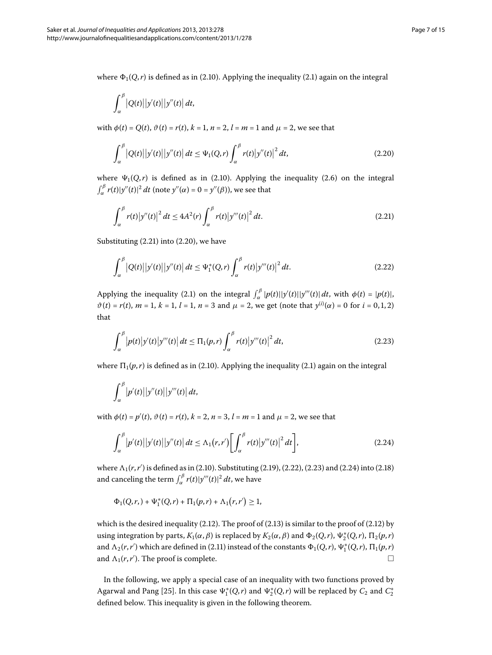where  $\Phi_1(Q,r)$  is defined as in (2[.](#page-2-2)10). Applying the inequality (2.1) again on the integral

<span id="page-6-1"></span>
$$
\int_{\alpha}^{\beta} |Q(t)| |y'(t)| |y''(t)| dt,
$$

with  $\phi(t) = Q(t)$ ,  $\vartheta(t) = r(t)$ ,  $k = 1$ ,  $n = 2$ ,  $l = m = 1$  and  $\mu = 2$ , we see that

<span id="page-6-0"></span>
$$
\int_{\alpha}^{\beta} |Q(t)| |y'(t)| |y''(t)| dt \leq \Psi_1(Q, r) \int_{\alpha}^{\beta} r(t) |y''(t)|^2 dt,
$$
\n(2.20)

where  $\Psi_1(Q,r)$  is defined as in (2[.](#page-3-0)10). Applying the inequality (2.6) on the integral  $\int_{\alpha}^{\beta} r(t)|y''(t)|^2 dt$  (note  $y''(\alpha) = 0 = y''(\beta)$ ), we see that

<span id="page-6-2"></span>
$$
\int_{\alpha}^{\beta} r(t) |y''(t)|^2 dt \le 4A^2(r) \int_{\alpha}^{\beta} r(t) |y'''(t)|^2 dt.
$$
 (2.21)

Substituting  $(2.21)$  into  $(2.20)$ , we have

<span id="page-6-3"></span>
$$
\int_{\alpha}^{\beta} |Q(t)| |y'(t)| |y''(t)| dt \leq \Psi_1^*(Q, r) \int_{\alpha}^{\beta} r(t) |y'''(t)|^2 dt.
$$
 (2.22)

Applying the inequality (2.1) on the integral  $\int_{\alpha}^{\beta} |p(t)| |y'(t)| |y'''(t)| dt$ , with  $\phi(t) = |p(t)|$ ,  $\vartheta(t) = r(t), m = 1, k = 1, l = 1, n = 3$  and  $\mu = 2$ , we get (note that  $y^{(i)}(\alpha) = 0$  for  $i = 0, 1, 2$ ) that

$$
\int_{\alpha}^{\beta} |p(t)|y'(t)|y'''(t)| dt \leq \Pi_1(p,r) \int_{\alpha}^{\beta} r(t) |y'''(t)|^2 dt,
$$
\n(2.23)

where  $\Pi_1(p,r)$  is defined as in (2.10). Applying the inequality (2.1) again on the integral

<span id="page-6-4"></span>
$$
\int_{\alpha}^{\beta} |p'(t)| |y''(t)| |y'''(t)| dt,
$$

with  $\phi(t) = p'(t)$ ,  $\vartheta(t) = r(t)$ ,  $k = 2$ ,  $n = 3$ ,  $l = m = 1$  and  $\mu = 2$ , we see that

$$
\int_{\alpha}^{\beta} \left| p'(t) \right| \left| y'(t) \right| \left| y''(t) \right| dt \le \Lambda_1(r, r') \left[ \int_{\alpha}^{\beta} r(t) \left| y'''(t) \right|^2 dt \right],\tag{2.24}
$$

where  $\Lambda_1(r,r')$  is defined as in (2[.](#page-5-4)10). Substituting (2.19), (2.22), (2.23) and (2.24) into (2.18) and canceling the term  $\int_{\alpha}^{\beta} r(t)|y'''(t)|^2 dt$ , we have

$$
\Phi_1(Q,r,)+\Psi_1^*(Q,r)+\Pi_1(p,r)+\Lambda_1(r,r')\geq 1,
$$

which is the desired inequality (2[.](#page-4-2)12). The proof of (2.13) is similar to the proof of (2.12) by using integration by parts,  $K_1(\alpha, \beta)$  is replaced by  $K_2(\alpha, \beta)$  and  $\Phi_2(Q,r)$ ,  $\Psi_2^*(Q,r)$ ,  $\Pi_2(p,r)$ and  $\Lambda_2(r,r')$  which are defined in (2.11) instead of the constants  $\Phi_1(Q,r)$ ,  $\Psi_1^*(Q,r)$ ,  $\Pi_1(p,r)$ and  $\Lambda_1(r,r')$ . The proof is complete.  $\Box$  $\Box$ 

In the following, we apply a special case of an inequality with two functions proved by Agarwal and Pang [\[](#page-14-8)25]. In this case  $\Psi_1^*(Q,r)$  and  $\Psi_2^*(Q,r)$  will be replaced by  $C_2$  and  $C_2^*$ defined below. This inequality is given in the following theorem.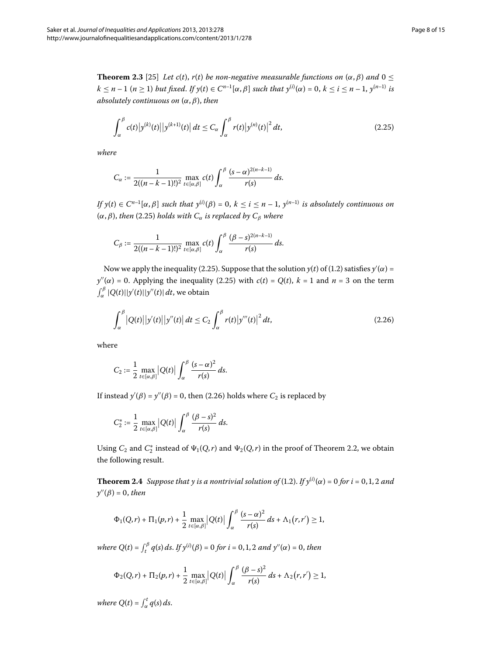<span id="page-7-0"></span>
$$
\int_{\alpha}^{\beta} c(t) |y^{(k)}(t)| |y^{(k+1)}(t)| dt \leq C_{\alpha} \int_{\alpha}^{\beta} r(t) |y^{(n)}(t)|^2 dt,
$$
\n(2.25)

*where*

$$
C_{\alpha} := \frac{1}{2((n-k-1)!)^2} \max_{t \in [\alpha,\beta]} c(t) \int_{\alpha}^{\beta} \frac{(s-\alpha)^{2(n-k-1)}}{r(s)} ds.
$$

*If*  $y(t) \in C^{n-1}[\alpha, \beta]$  *such that*  $y^{(i)}(\beta) = 0, k \le i \le n-1$ ,  $y^{(n-1)}$  *is absolutely continuous on*  $(\alpha, \beta)$ , *then* (2.25) *holds with*  $C_{\alpha}$  *is replaced by*  $C_{\beta}$  *where* 

<span id="page-7-1"></span>
$$
C_{\beta} := \frac{1}{2((n-k-1)!)^2} \max_{t \in [\alpha,\beta]} c(t) \int_{\alpha}^{\beta} \frac{(\beta-s)^{2(n-k-1)}}{r(s)} ds.
$$

Now we apply the inequality (2[.](#page-1-0)25). Suppose that the solution  $y(t)$  of (1.2) satisfies  $y'(\alpha)$  =  $y''(\alpha) = 0$ . Applying the inequality (2.25) with  $c(t) = Q(t)$ ,  $k = 1$  and  $n = 3$  on the term  $\int_\alpha^\beta |Q(t)||y'(t)||y''(t)|\,dt$ , we obtain

$$
\int_{\alpha}^{\beta} |Q(t)| |y'(t)| |y''(t)| dt \leq C_2 \int_{\alpha}^{\beta} r(t) |y'''(t)|^2 dt,
$$
\n(2.26)

where

$$
C_2 := \frac{1}{2} \max_{t \in [\alpha, \beta]} |Q(t)| \int_{\alpha}^{\beta} \frac{(s - \alpha)^2}{r(s)} ds.
$$

<span id="page-7-2"></span>If instead  $y'(\beta) = y''(\beta) = 0$ , then (2[.](#page-7-1)26) holds where  $C_2$  is replaced by

$$
C_2^* := \frac{1}{2} \max_{t \in [\alpha,\beta]} |Q(t)| \int_\alpha^\beta \frac{(\beta - s)^2}{r(s)} ds.
$$

Using  $C_2$  and  $C_2^*$  instead of  $\Psi_1(Q,r)$  and  $\Psi_2(Q,r)$  in the proof of Theorem 2.2, we obtain the following result.

**Theorem 2[.](#page-1-0)4** Suppose that y is a nontrivial solution of (1.2). If  $y^{(i)}(\alpha) = 0$  for  $i = 0, 1, 2$  and  $y''(\beta) = 0$ , *then* 

$$
\Phi_1(Q,r) + \Pi_1(p,r) + \frac{1}{2} \max_{t \in [\alpha,\beta]} |Q(t)| \int_{\alpha}^{\beta} \frac{(s-\alpha)^2}{r(s)} ds + \Lambda_1(r,r') \ge 1,
$$

*where*  $Q(t) = \int_{t}^{\beta} q(s) ds$ . *If*  $y^{(i)}(\beta) = 0$  for  $i = 0, 1, 2$  and  $y''(\alpha) = 0$ , then

$$
\Phi_2(Q,r) + \Pi_2(p,r) + \frac{1}{2} \max_{t \in [\alpha,\beta]} |Q(t)| \int_{\alpha}^{\beta} \frac{(\beta - s)^2}{r(s)} ds + \Lambda_2(r,r') \ge 1,
$$

*where*  $Q(t) = \int_{\alpha}^{t} q(s) ds$ .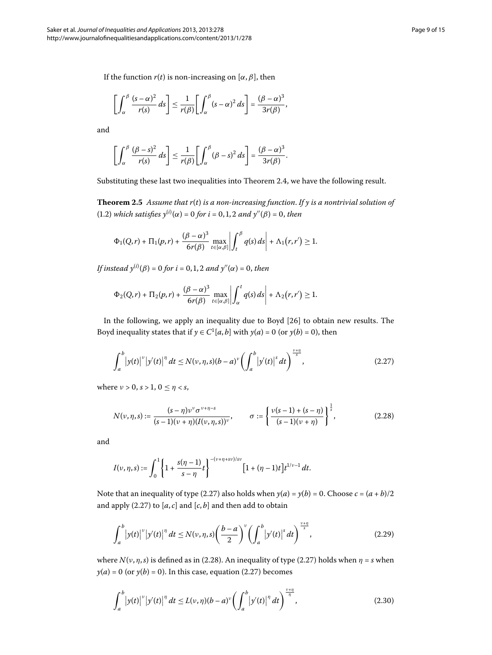If the function  $r(t)$  is non-increasing on  $[\alpha, \beta]$ , then

$$
\left[\int_{\alpha}^{\beta}\frac{(s-\alpha)^2}{r(s)}\,ds\right]\leq\frac{1}{r(\beta)}\left[\int_{\alpha}^{\beta}(s-\alpha)^2\,ds\right]=\frac{(\beta-\alpha)^3}{3r(\beta)},
$$

and

$$
\left[\int_{\alpha}^{\beta}\frac{(\beta-s)^2}{r(s)}\,ds\right]\leq\frac{1}{r(\beta)}\left[\int_{\alpha}^{\beta}(\beta-s)^2\,ds\right]=\frac{(\beta-\alpha)^3}{3r(\beta)}.
$$

Substituting these last two inequalities into Theorem 2.4, we have the following result.

**Theorem .** *Assume that r*(*t*) *is a non-increasing function*. *If y is a nontrivial solution of* (1[.](#page-1-0)2) which satisfies  $y^{(i)}(x) = 0$  for  $i = 0, 1, 2$  and  $y''(\beta) = 0$ , then

$$
\Phi_1(Q,r)+\Pi_1(p,r)+\frac{(\beta-\alpha)^3}{6r(\beta)}\max_{t\in[\alpha,\beta]}\left|\int_t^\beta q(s)\,ds\right|+\Lambda_1(r,r')\geq 1.
$$

If instead  $y^{(i)}(\beta) = 0$  for  $i = 0, 1, 2$  and  $y''(\alpha) = 0$ , then

<span id="page-8-0"></span>
$$
\Phi_2(Q,r)+\Pi_2(p,r)+\frac{(\beta-\alpha)^3}{6r(\beta)}\max_{t\in[\alpha,\beta]}\left|\int_{\alpha}^t q(s)\,ds\right|+\Lambda_2(r,r')\geq 1.
$$

In the following, we apply an inequality due to Boyd [] to obtain new results. The Boyd inequality states that if  $y \in C^1[a, b]$  with  $y(a) = 0$  (or  $y(b) = 0$ ), then

<span id="page-8-1"></span>
$$
\int_{a}^{b} |y(t)|^{v} |y'(t)|^{n} dt \le N(v, \eta, s) (b - a)^{v} \left(\int_{a}^{b} |y'(t)|^{s} dt\right)^{\frac{v + \eta}{s}}, \tag{2.27}
$$

where  $\nu > 0$ ,  $s > 1$ ,  $0 \le \eta < s$ ,

$$
N(\nu, \eta, s) := \frac{(s - \eta)\nu^{\nu} \sigma^{\nu + \eta - s}}{(s - 1)(\nu + \eta)(I(\nu, \eta, s))^{\nu}}, \qquad \sigma := \left\{ \frac{\nu(s - 1) + (s - \eta)}{(s - 1)(\nu + \eta)} \right\}^{\frac{1}{s}},
$$
(2.28)

and

$$
I(\nu,\eta,s):=\int_0^1\left\{1+\frac{s(\eta-1)}{s-\eta}t\right\}^{-(\nu+\eta+s\nu)/sv} \left[1+(\eta-1)t\right]t^{1/\nu-1}\,dt.
$$

Note that an inequality of type (2[.](#page-8-0)27) also holds when  $y(a) = y(b) = 0$ . Choose  $c = (a + b)/2$ and apply  $(2.27)$  to  $[a, c]$  and  $[c, b]$  and then add to obtain

<span id="page-8-2"></span>
$$
\int_{a}^{b} |y(t)|^{v} |y'(t)|^{n} dt \le N(v, \eta, s) \left(\frac{b-a}{2}\right)^{v} \left(\int_{a}^{b} |y'(t)|^{s} dt\right)^{\frac{v+\eta}{s}}, \tag{2.29}
$$

where  $N(\nu, \eta, s)$  is defined as in (2[.](#page-8-0)28). An inequality of type (2.27) holds when  $\eta = s$  when  $y(a) = 0$  (or  $y(b) = 0$ ). In this case, equation (2.27) becomes

$$
\int_{a}^{b} |y(t)|^{v} |y'(t)|^{\eta} dt \le L(v, \eta)(b-a)^{v} \left(\int_{a}^{b} |y'(t)|^{\eta} dt\right)^{\frac{v+\eta}{\eta}}, \qquad (2.30)
$$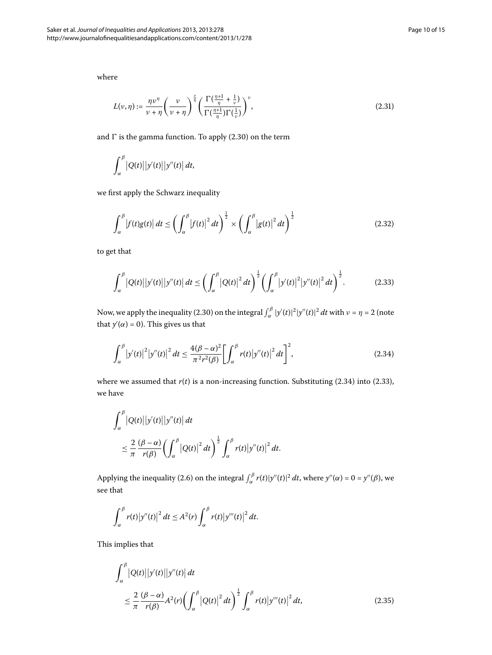where

$$
L(\nu,\eta) := \frac{\eta \nu^{\eta}}{\nu + \eta} \left(\frac{\nu}{\nu + \eta}\right)^{\frac{\nu}{\eta}} \left(\frac{\Gamma(\frac{\eta + 1}{\eta} + \frac{1}{\nu})}{\Gamma(\frac{\eta + 1}{\eta})\Gamma(\frac{1}{\nu})}\right)^{\nu},\tag{2.31}
$$

and  $\Gamma$  is the gamma function. To apply (2.30) on the term

$$
\int_{\alpha}^{\beta} |Q(t)| |y'(t)| |y''(t)| dt,
$$

we first apply the Schwarz inequality

<span id="page-9-1"></span>
$$
\int_{\alpha}^{\beta} \left| f(t)g(t) \right| dt \leq \left( \int_{\alpha}^{\beta} \left| f(t) \right|^2 dt \right)^{\frac{1}{2}} \times \left( \int_{\alpha}^{\beta} \left| g(t) \right|^2 dt \right)^{\frac{1}{2}} \tag{2.32}
$$

to get that

<span id="page-9-0"></span>
$$
\int_{\alpha}^{\beta} |Q(t)| |y'(t)| |y''(t)| dt \leq \left( \int_{\alpha}^{\beta} |Q(t)|^2 dt \right)^{\frac{1}{2}} \left( \int_{\alpha}^{\beta} |y'(t)|^2 |y''(t)|^2 dt \right)^{\frac{1}{2}}.
$$
 (2.33)

Now, we apply the inequality (2.30) on the integral  $\int_{\alpha}^{\beta} |y'(t)|^2 |y''(t)|^2 dt$  with  $\nu = \eta = 2$  (note that  $y'(\alpha) = 0$ ). This gives us that

$$
\int_{\alpha}^{\beta} |y'(t)|^2 |y''(t)|^2 dt \le \frac{4(\beta - \alpha)^2}{\pi^2 r^2(\beta)} \left[ \int_{\alpha}^{\beta} r(t) |y''(t)|^2 dt \right]^2,
$$
\n(2.34)

where we assumed that  $r(t)$  is a non-increasing function. Substituting (2.34) into (2.33), we have

$$
\int_{\alpha}^{\beta} |Q(t)| |y'(t)| |y''(t)| dt
$$
  
\n
$$
\leq \frac{2}{\pi} \frac{(\beta - \alpha)}{r(\beta)} \left( \int_{\alpha}^{\beta} |Q(t)|^2 dt \right)^{\frac{1}{2}} \int_{\alpha}^{\beta} r(t) |y''(t)|^2 dt.
$$

Applying the inequality (2.6) on the integral  $\int_{\alpha}^{\beta} r(t)|y''(t)|^2 dt$ , where  $y''(\alpha) = 0 = y''(\beta)$ , we see that

<span id="page-9-2"></span>
$$
\int_{\alpha}^{\beta} r(t) \big|y''(t)\big|^2 dt \leq A^2(r) \int_{\alpha}^{\beta} r(t) \big|y'''(t)\big|^2 dt.
$$

This implies that

$$
\int_{\alpha}^{\beta} |Q(t)| |y'(t)| |y''(t)| dt
$$
\n
$$
\leq \frac{2}{\pi} \frac{(\beta - \alpha)}{r(\beta)} A^2(r) \left( \int_{\alpha}^{\beta} |Q(t)|^2 dt \right)^{\frac{1}{2}} \int_{\alpha}^{\beta} r(t) |y'''(t)|^2 dt, \tag{2.35}
$$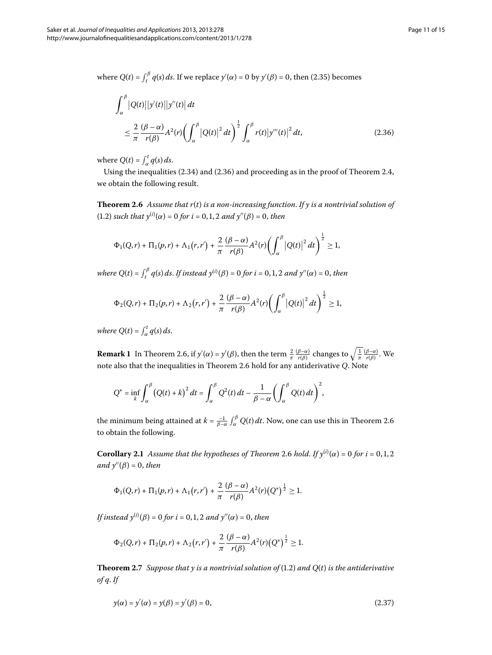where  $Q(t) = \int_t^\beta q(s) ds$ . If we replace  $y'(\alpha) = 0$  by  $y'(\beta) = 0$ , then (2.35) becomes

<span id="page-10-0"></span>
$$
\int_{\alpha}^{\beta} |Q(t)| |y'(t)| |y''(t)| dt
$$
\n
$$
\leq \frac{2}{\pi} \frac{(\beta - \alpha)}{r(\beta)} A^2(r) \left( \int_{\alpha}^{\beta} |Q(t)|^2 dt \right)^{\frac{1}{2}} \int_{\alpha}^{\beta} r(t) |y'''(t)|^2 dt, \tag{2.36}
$$

<span id="page-10-1"></span>where  $Q(t) = \int_{\alpha}^{t} q(s) ds$ .

Using the inequalities  $(2.34)$  $(2.34)$  $(2.34)$  and  $(2.36)$  and proceeding as in the proof of Theorem 2.4, we obtain the following result.

**Theorem 2.6** Assume that  $r(t)$  is a non-increasing function. If y is a nontrivial solution of (1[.](#page-1-0)2) *such that*  $y^{(i)}(\alpha) = 0$  *for i* = 0, 1, 2 *and*  $y''(\beta) = 0$ *, then* 

$$
\Phi_1(Q,r)+\Pi_1(p,r)+\Lambda_1(r,r')+\frac{2}{\pi}\frac{(\beta-\alpha)}{r(\beta)}A^2(r)\bigg(\int_\alpha^\beta\big|Q(t)\big|^2\,dt\bigg)^{\frac{1}{2}}\geq 1,
$$

*where*  $Q(t) = \int_{t}^{\beta} q(s) ds$ . *If instead*  $y^{(i)}(\beta) = 0$  for  $i = 0, 1, 2$  and  $y''(\alpha) = 0$ , then

$$
\Phi_2(Q,r)+\Pi_2(p,r)+\Lambda_2\big(r,r'\big)+\frac{2}{\pi}\frac{(\beta-\alpha)}{r(\beta)}A^2(r)\bigg(\int_\alpha^\beta\big|Q(t)\big|^2\,dt\bigg)^{\frac{1}{2}}\geq 1,
$$

*where*  $Q(t) = \int_{\alpha}^{t} q(s) ds$ .

**Remark 1** In Theorem 2.6, if  $y'(\alpha) = y'(\beta)$ , then the term  $\frac{2}{\pi} \frac{(\beta-\alpha)}{r(\beta)}$  changes to  $\sqrt{\frac{1}{\pi} \frac{(\beta-\alpha)}{r(\beta)}}$ . We note also that the inequalities in Theorem 2[.](#page-10-1)6 hold for any antiderivative *Q*. Note

$$
Q^* = \inf_k \int_{\alpha}^{\beta} \left( Q(t) + k \right)^2 dt = \int_{\alpha}^{\beta} Q^2(t) dt - \frac{1}{\beta - \alpha} \left( \int_{\alpha}^{\beta} Q(t) dt \right)^2,
$$

the minimum being attained at  $k = \frac{-1}{\beta - \alpha} \int_\alpha^\beta Q(t) \, dt.$  $k = \frac{-1}{\beta - \alpha} \int_\alpha^\beta Q(t) \, dt.$  Now, one can use this in Theorem 2.6 to obtain the following.

**Corollary 2[.](#page-10-1)1** Assume that the hypotheses of Theorem 2.6 hold. If  $y^{(i)}(\alpha) = 0$  for  $i = 0, 1, 2$ *and y"* (β) = 0, *then* 

$$
\Phi_1(Q,r) + \Pi_1(p,r) + \Lambda_1(r,r') + \frac{2}{\pi} \frac{(\beta - \alpha)}{r(\beta)} A^2(r) (Q^*)^{\frac{1}{2}} \geq 1.
$$

<span id="page-10-3"></span>If instead  $y^{(i)}(\beta) = 0$  for  $i = 0, 1, 2$  and  $y''(\alpha) = 0$ , then

<span id="page-10-2"></span>
$$
\Phi_2(Q,r) + \Pi_2(p,r) + \Lambda_2(r,r') + \frac{2}{\pi} \frac{(\beta - \alpha)}{r(\beta)} A^2(r) (Q^*)^{\frac{1}{2}} \geq 1.
$$

**Theorem 2.7** Suppose that y is a nontrivial solution of  $(1.2)$  and  $O(t)$  is the antiderivative *of q*. *If*

$$
y(\alpha) = y'(\alpha) = y(\beta) = y'(\beta) = 0,\tag{2.37}
$$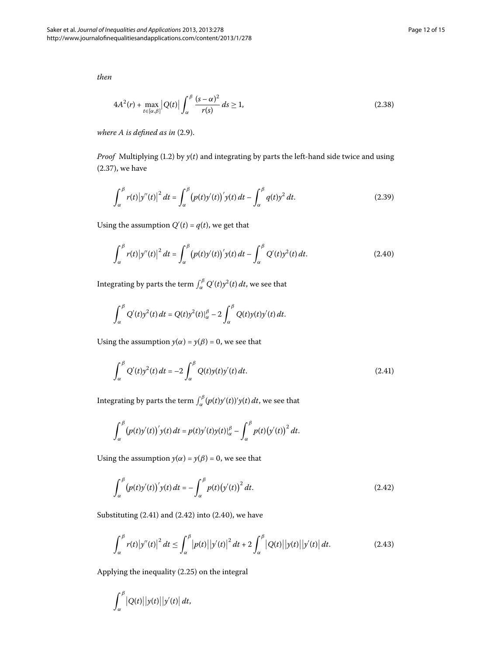*then*

<span id="page-11-4"></span>
$$
4A2(r) + \max_{t \in [\alpha,\beta]} |Q(t)| \int_{\alpha}^{\beta} \frac{(s-\alpha)^2}{r(s)} ds \ge 1,
$$
\n(2.38)

*where A is defined as in (2[.](#page-4-5)9).* 

*Proof* Multiplying (1.2) by  $y(t)$  and integrating by parts the left-hand side twice and using  $(2.37)$ , we have

<span id="page-11-2"></span>
$$
\int_{\alpha}^{\beta} r(t) |y''(t)|^2 dt = \int_{\alpha}^{\beta} (p(t)y'(t))' y(t) dt - \int_{\alpha}^{\beta} q(t)y^2 dt.
$$
 (2.39)

Using the assumption  $Q'(t) = q(t)$ , we get that

$$
\int_{\alpha}^{\beta} r(t) |y''(t)|^2 dt = \int_{\alpha}^{\beta} (p(t)y'(t))' y(t) dt - \int_{\alpha}^{\beta} Q'(t) y^2(t) dt.
$$
 (2.40)

Integrating by parts the term  $\int_{\alpha}^{\beta} Q'(t) y^2(t) \, dt$ , we see that

<span id="page-11-0"></span>
$$
\int_{\alpha}^{\beta} Q'(t)y^2(t) dt = Q(t)y^2(t)|_{\alpha}^{\beta} - 2 \int_{\alpha}^{\beta} Q(t)y(t)y'(t) dt.
$$

Using the assumption  $y(\alpha) = y(\beta) = 0$ , we see that

$$
\int_{\alpha}^{\beta} Q'(t) y^2(t) dt = -2 \int_{\alpha}^{\beta} Q(t) y(t) y'(t) dt.
$$
 (2.41)

Integrating by parts the term  $\int_{\alpha}^{\beta} (p(t)y'(t))' y(t) dt$ , we see that

<span id="page-11-1"></span>
$$
\int_{\alpha}^{\beta} (p(t)y'(t))' y(t) dt = p(t)y'(t)y(t)|_{\alpha}^{\beta} - \int_{\alpha}^{\beta} p(t)(y'(t))^{2} dt.
$$

Using the assumption  $y(\alpha) = y(\beta) = 0$ , we see that

<span id="page-11-3"></span>
$$
\int_{\alpha}^{\beta} (p(t)y'(t))' y(t) dt = - \int_{\alpha}^{\beta} p(t) (y'(t))^{2} dt.
$$
 (2.42)

Substituting  $(2.41)$  $(2.41)$  $(2.41)$  and  $(2.42)$  into  $(2.40)$ , we have

$$
\int_{\alpha}^{\beta} r(t) |y''(t)|^2 dt \le \int_{\alpha}^{\beta} |p(t)| |y'(t)|^2 dt + 2 \int_{\alpha}^{\beta} |Q(t)| |y(t)| |y'(t)| dt.
$$
 (2.43)

Applying the inequality  $(2.25)$  on the integral

$$
\int_{\alpha}^{\beta} |Q(t)| |y(t)| |y'(t)| dt,
$$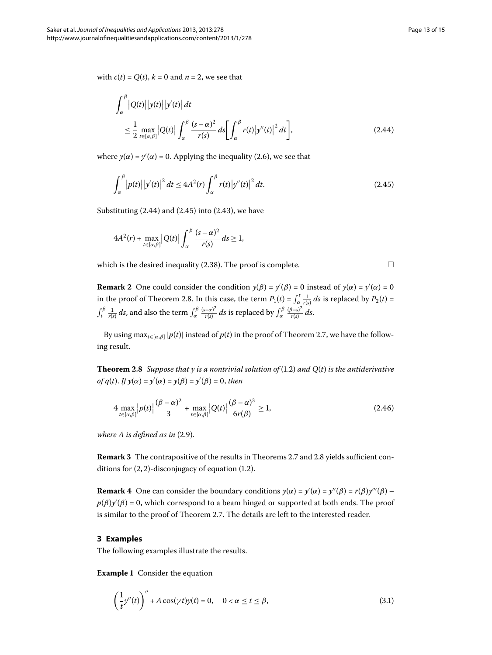with  $c(t) = Q(t)$ ,  $k = 0$  and  $n = 2$ , we see that

$$
\int_{\alpha}^{\beta} |Q(t)| |y(t)| |y'(t)| dt
$$
\n
$$
\leq \frac{1}{2} \max_{t \in [\alpha, \beta]} |Q(t)| \int_{\alpha}^{\beta} \frac{(s - \alpha)^2}{r(s)} ds \left[ \int_{\alpha}^{\beta} r(t) |y''(t)|^2 dt \right],
$$
\n(2.44)

where  $y(\alpha) = y'(\alpha) = 0$ [.](#page-3-0) Applying the inequality (2.6), we see that

$$
\int_{\alpha}^{\beta} |p(t)| |y'(t)|^2 dt \le 4A^2(r) \int_{\alpha}^{\beta} r(t) |y''(t)|^2 dt.
$$
 (2.45)

Substituting  $(2.44)$  $(2.44)$  $(2.44)$  and  $(2.45)$  into  $(2.43)$ , we have

$$
4A^2(r) + \max_{t \in [\alpha,\beta]} |Q(t)| \int_{\alpha}^{\beta} \frac{(s-\alpha)^2}{r(s)} ds \ge 1,
$$

which is the desired inequality (2.38). The proof is complete.  $\Box$ 

<span id="page-12-3"></span>**Remark 2** One could consider the condition  $y(\beta) = y'(\beta) = 0$  instead of  $y(\alpha) = y'(\alpha) = 0$ in the proof of Theorem 2[.](#page-12-3)8. In this case, the term  $P_1(t) = \int_{\alpha}^{t} \frac{1}{r(s)} ds$  is replaced by  $P_2(t) =$ *f*<sub>*t*</sub><sup>*β*</sup>  $\frac{1}{r(s)}$ *ds*, and also the term  $\int_{\alpha}^{\beta} \frac{(s-\alpha)^2}{r(s)} ds$  is replaced by  $\int_{\alpha}^{\beta} \frac{(\beta-s)^2}{r(s)} ds$ .

By using max<sub>*t*∈[ $\alpha$ </sub>, $\beta$ ] | $p(t)$ | instead of  $p(t)$  in the proof of Theorem 2[.](#page-10-3)7, we have the following result.

**Theorem 2.8** Suppose that y is a nontrivial solution of  $(1.2)$  and  $Q(t)$  is the antiderivative  $of$   $q(t)$ . *If*  $y(\alpha) = y'(\alpha) = y(\beta) = y'(\beta) = 0$ , then

$$
4 \max_{t \in [\alpha,\beta]} |p(t)| \frac{(\beta - \alpha)^2}{3} + \max_{t \in [\alpha,\beta]} |Q(t)| \frac{(\beta - \alpha)^3}{6r(\beta)} \ge 1,
$$
\n(2.46)

*where A is defined as in*  $(2.9)$  $(2.9)$  $(2.9)$ *.* 

<span id="page-12-0"></span>**Remark 3** The contrapositive of the results in Theorems 2[.](#page-12-3)7 and 2.8 yields sufficient conditions for  $(2, 2)$ -disconjugacy of equation  $(1.2)$ .

**Remark 4** One can consider the boundary conditions  $y(\alpha) = y'(\alpha) = y''(\beta) = r(\beta)y'''(\beta)$  –  $p(\beta)$ y'( $\beta$ ) = 0, which correspond to a beam hinged or supported at both ends. The proof is similar to the proof of Theorem 2.7. The details are left to the interested reader.

#### **3 Examples**

The following examples illustrate the results.

**Example 1** Consider the equation

<span id="page-12-4"></span>
$$
\left(\frac{1}{t}y''(t)\right)'' + A\cos(\gamma t)y(t) = 0, \quad 0 < \alpha \le t \le \beta,\tag{3.1}
$$

<span id="page-12-5"></span><span id="page-12-2"></span><span id="page-12-1"></span>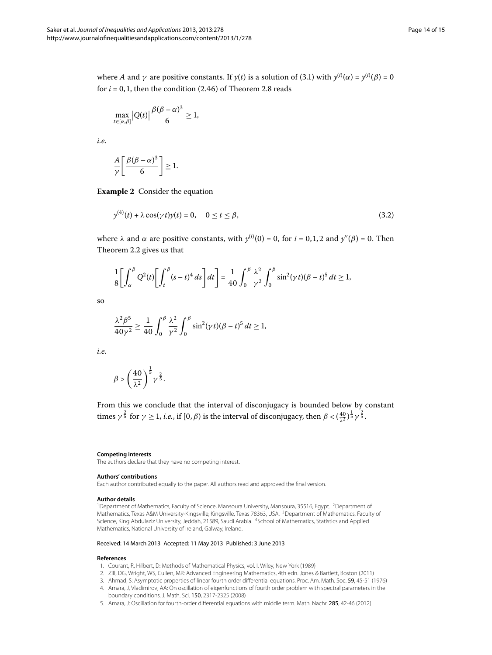where *A* and *γ* are positive constants. If  $y(t)$  is a solution of (3.1) with  $y^{(i)}(α) = y^{(i)}(β) = 0$ for  $i = 0, 1$ , then the condition  $(2.46)$  $(2.46)$  $(2.46)$  of Theorem 2.8 reads

$$
\max_{t\in[\alpha,\beta]}|Q(t)|\frac{\beta(\beta-\alpha)^3}{6}\geq 1,
$$

*i.e.*

$$
\frac{A}{\gamma} \left[ \frac{\beta(\beta - \alpha)^3}{6} \right] \ge 1.
$$

**Example 2** Consider the equation

$$
y^{(4)}(t) + \lambda \cos(\gamma t)y(t) = 0, \quad 0 \le t \le \beta,
$$
\n(3.2)

where *λ* and *α* are positive constants, with  $y^{(i)}(0) = 0$ , for  $i = 0, 1, 2$  and  $y''(β) = 0$ . Then Theorem 2[.](#page-4-4)2 gives us that

$$
\frac{1}{8} \left[ \int_{\alpha}^{\beta} Q^2(t) \left[ \int_t^{\beta} (s-t)^4 ds \right] dt \right] = \frac{1}{40} \int_0^{\beta} \frac{\lambda^2}{\gamma^2} \int_0^{\beta} \sin^2(\gamma t) (\beta - t)^5 dt \ge 1,
$$

so

$$
\frac{\lambda^2 \beta^5}{40 \gamma^2} \ge \frac{1}{40} \int_0^\beta \frac{\lambda^2}{\gamma^2} \int_0^\beta \sin^2(\gamma t) (\beta - t)^5 dt \ge 1,
$$

*i.e.*

<span id="page-13-2"></span><span id="page-13-1"></span>
$$
\beta > \left(\frac{40}{\lambda^2}\right)^{\frac{1}{5}}\gamma^{\frac{2}{5}}.
$$

From this we conclude that the interval of disconjugacy is bounded below by constant times  $\gamma^{\frac{2}{5}}$  for  $\gamma \ge 1$ , *i.e.*, if  $[0, \beta)$  is the interval of disconjugacy, then  $\beta < (\frac{40}{\lambda^2})^{\frac{1}{5}} \gamma^{\frac{2}{5}}$ .

#### <span id="page-13-3"></span><span id="page-13-0"></span>**Competing interests**

The authors declare that they have no competing interest.

#### **Authors' contributions**

<span id="page-13-4"></span>Each author contributed equally to the paper. All authors read and approved the final version.

#### <span id="page-13-5"></span>**Author details**

<span id="page-13-6"></span><sup>1</sup>Department of Mathematics, Faculty of Science, Mansoura University, Mansoura, 35516, Egypt. <sup>2</sup>Department of Mathematics, Texas A&M University-Kingsville, Kingsville, Texas 78363, USA. 3Department of Mathematics, Faculty of Science, King Abdulaziz University, Jeddah, 21589, Saudi Arabia. 4School of Mathematics, Statistics and Applied Mathematics, National University of Ireland, Galway, Ireland.

#### Received: 14 March 2013 Accepted: 11 May 2013 Published: 3 June 2013

#### **References**

- 1. Courant, R, Hilbert, D: Methods of Mathematical Physics, vol. I. Wiley, New York (1989)
- 2. Zill, DG, Wright, WS, Cullen, MR: Advanced Engineering Mathematics, 4th edn. Jones & Bartlett, Boston (2011)
- 3. Ahmad, S: Asymptotic properties of linear fourth order differential equations. Proc. Am. Math. Soc. 59, 45-51 (1976)
- 4. Amara, J, Vladimirov, AA: On oscillation of eigenfunctions of fourth order problem with spectral parameters in the boundary conditions. J. Math. Sci. 150, 2317-2325 (2008)
- 5. Amara, J: Oscillation for fourth-order differential equations with middle term. Math. Nachr. 285, 42-46 (2012)